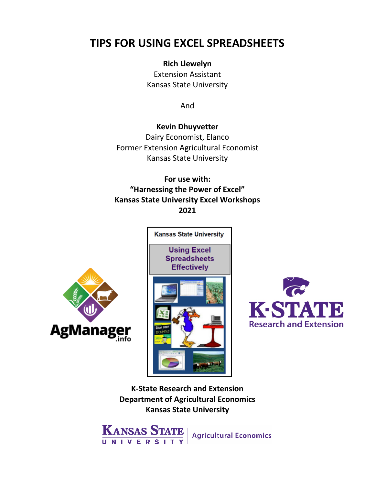# **TIPS FOR USING EXCEL SPREADSHEETS**

#### **Rich Llewelyn**

Extension Assistant Kansas State University

And

# **Kevin Dhuyvetter**

Dairy Economist, Elanco Former Extension Agricultural Economist Kansas State University

# **For use with: "Harnessing the Power of Excel" Kansas State University Excel Workshops 2021**







**K-State Research and Extension Department of Agricultural Economics Kansas State University**



**Agricultural Economics**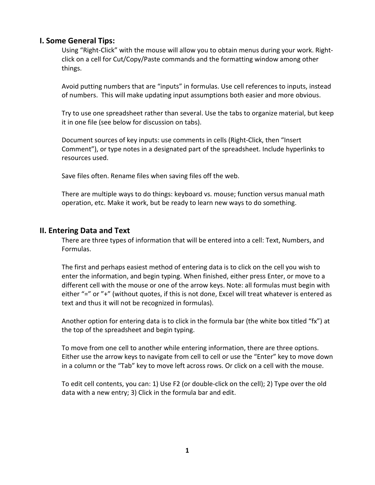#### **I. Some General Tips:**

Using "Right-Click" with the mouse will allow you to obtain menus during your work. Rightclick on a cell for Cut/Copy/Paste commands and the formatting window among other things.

Avoid putting numbers that are "inputs" in formulas. Use cell references to inputs, instead of numbers. This will make updating input assumptions both easier and more obvious.

Try to use one spreadsheet rather than several. Use the tabs to organize material, but keep it in one file (see below for discussion on tabs).

Document sources of key inputs: use comments in cells (Right-Click, then "Insert Comment"), or type notes in a designated part of the spreadsheet. Include hyperlinks to resources used.

Save files often. Rename files when saving files off the web.

There are multiple ways to do things: keyboard vs. mouse; function versus manual math operation, etc. Make it work, but be ready to learn new ways to do something.

#### **II. Entering Data and Text**

There are three types of information that will be entered into a cell: Text, Numbers, and Formulas.

The first and perhaps easiest method of entering data is to click on the cell you wish to enter the information, and begin typing. When finished, either press Enter, or move to a different cell with the mouse or one of the arrow keys. Note: all formulas must begin with either "=" or "+" (without quotes, if this is not done, Excel will treat whatever is entered as text and thus it will not be recognized in formulas).

Another option for entering data is to click in the formula bar (the white box titled "fx") at the top of the spreadsheet and begin typing.

To move from one cell to another while entering information, there are three options. Either use the arrow keys to navigate from cell to cell or use the "Enter" key to move down in a column or the "Tab" key to move left across rows. Or click on a cell with the mouse.

To edit cell contents, you can: 1) Use F2 (or double-click on the cell); 2) Type over the old data with a new entry; 3) Click in the formula bar and edit.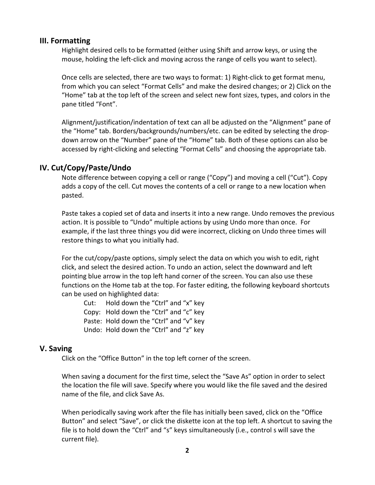#### **III. Formatting**

Highlight desired cells to be formatted (either using Shift and arrow keys, or using the mouse, holding the left-click and moving across the range of cells you want to select).

Once cells are selected, there are two ways to format: 1) Right-click to get format menu, from which you can select "Format Cells" and make the desired changes; or 2) Click on the "Home" tab at the top left of the screen and select new font sizes, types, and colors in the pane titled "Font".

Alignment/justification/indentation of text can all be adjusted on the "Alignment" pane of the "Home" tab. Borders/backgrounds/numbers/etc. can be edited by selecting the dropdown arrow on the "Number" pane of the "Home" tab. Both of these options can also be accessed by right-clicking and selecting "Format Cells" and choosing the appropriate tab.

#### **IV. Cut/Copy/Paste/Undo**

Note difference between copying a cell or range ("Copy") and moving a cell ("Cut"). Copy adds a copy of the cell. Cut moves the contents of a cell or range to a new location when pasted.

Paste takes a copied set of data and inserts it into a new range. Undo removes the previous action. It is possible to "Undo" multiple actions by using Undo more than once. For example, if the last three things you did were incorrect, clicking on Undo three times will restore things to what you initially had.

For the cut/copy/paste options, simply select the data on which you wish to edit, right click, and select the desired action. To undo an action, select the downward and left pointing blue arrow in the top left hand corner of the screen. You can also use these functions on the Home tab at the top. For faster editing, the following keyboard shortcuts can be used on highlighted data:

Cut: Hold down the "Ctrl" and "x" key Copy: Hold down the "Ctrl" and "c" key Paste: Hold down the "Ctrl" and "v" key Undo: Hold down the "Ctrl" and "z" key

#### **V. Saving**

Click on the "Office Button" in the top left corner of the screen.

When saving a document for the first time, select the "Save As" option in order to select the location the file will save. Specify where you would like the file saved and the desired name of the file, and click Save As.

When periodically saving work after the file has initially been saved, click on the "Office Button" and select "Save", or click the diskette icon at the top left. A shortcut to saving the file is to hold down the "Ctrl" and "s" keys simultaneously (i.e., control s will save the current file).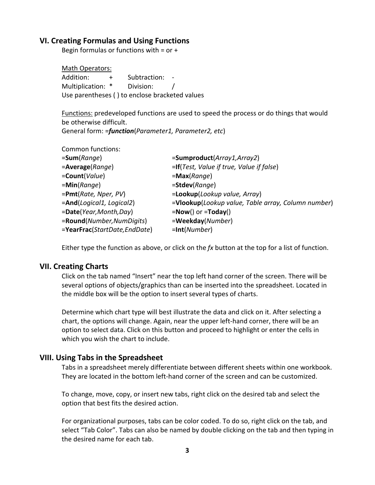#### **VI. Creating Formulas and Using Functions**

Begin formulas or functions with  $=$  or  $+$ 

Math Operators: Addition: + Subtraction: -Multiplication: \* Division: / Use parentheses ( ) to enclose bracketed values

Functions: predeveloped functions are used to speed the process or do things that would be otherwise difficult.

General form: =*function*(*Parameter1, Parameter2, etc*)

| <b>Common functions:</b>     |                                                    |
|------------------------------|----------------------------------------------------|
| =Sum(Range)                  | =Sumproduct(Array1,Array2)                         |
| =Average(Range)              | =If(Test, Value if true, Value if false)           |
| = <b>Count</b> (Value)       | $=$ <b>Max</b> (Range)                             |
| =Min(Range)                  | $=$ Stdev(Range)                                   |
| =Pmt(Rate, Nper, PV)         | =Lookup(Lookup value, Array)                       |
| =And(Logical1, Logical2)     | =Vlookup(Lookup value, Table array, Column number) |
| =Date(Year, Month, Day)      | $=$ <b>Now()</b> or $=$ <b>Today()</b>             |
| =Round(Number,NumDigits)     | =Weekday(Number)                                   |
| =YearFrac(StartDate,EndDate) | $=$ Int(Number)                                    |

Either type the function as above, or click on the *fx* button at the top for a list of function.

#### **VII. Creating Charts**

Click on the tab named "Insert" near the top left hand corner of the screen. There will be several options of objects/graphics than can be inserted into the spreadsheet. Located in the middle box will be the option to insert several types of charts.

Determine which chart type will best illustrate the data and click on it. After selecting a chart, the options will change. Again, near the upper left-hand corner, there will be an option to select data. Click on this button and proceed to highlight or enter the cells in which you wish the chart to include.

## **VIII. Using Tabs in the Spreadsheet**

Tabs in a spreadsheet merely differentiate between different sheets within one workbook. They are located in the bottom left-hand corner of the screen and can be customized.

To change, move, copy, or insert new tabs, right click on the desired tab and select the option that best fits the desired action.

For organizational purposes, tabs can be color coded. To do so, right click on the tab, and select "Tab Color". Tabs can also be named by double clicking on the tab and then typing in the desired name for each tab.